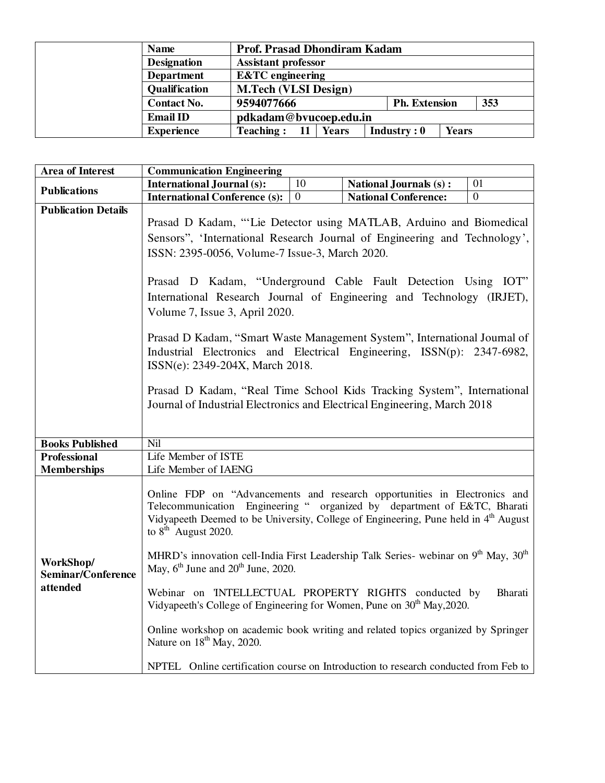| <b>Name</b>        | <b>Prof. Prasad Dhondiram Kadam</b> |                      |              |     |
|--------------------|-------------------------------------|----------------------|--------------|-----|
| <b>Designation</b> | <b>Assistant professor</b>          |                      |              |     |
| <b>Department</b>  | <b>E&amp;TC</b> engineering         |                      |              |     |
| Qualification      | <b>M.Tech (VLSI Design)</b>         |                      |              |     |
| <b>Contact No.</b> | 9594077666                          | <b>Ph. Extension</b> |              | 353 |
| <b>Email ID</b>    | pdkadam@bvucoep.edu.in              |                      |              |     |
| <b>Experience</b>  | <b>Teaching:</b><br>11<br>Years     | Industry: 0          | <b>Years</b> |     |

| <b>Area of Interest</b>                     | <b>Communication Engineering</b>                                                                                                                                                                                                                                                                                                                                                                                                                                                                                                                                                                                                                                                                                                                                                                                                             |                |                               |                |  |
|---------------------------------------------|----------------------------------------------------------------------------------------------------------------------------------------------------------------------------------------------------------------------------------------------------------------------------------------------------------------------------------------------------------------------------------------------------------------------------------------------------------------------------------------------------------------------------------------------------------------------------------------------------------------------------------------------------------------------------------------------------------------------------------------------------------------------------------------------------------------------------------------------|----------------|-------------------------------|----------------|--|
| <b>Publications</b>                         | <b>International Journal (s):</b>                                                                                                                                                                                                                                                                                                                                                                                                                                                                                                                                                                                                                                                                                                                                                                                                            | 10             | <b>National Journals (s):</b> | 01             |  |
|                                             | <b>International Conference (s):</b>                                                                                                                                                                                                                                                                                                                                                                                                                                                                                                                                                                                                                                                                                                                                                                                                         | $\overline{0}$ | <b>National Conference:</b>   | $\overline{0}$ |  |
| <b>Publication Details</b>                  | Prasad D Kadam, "'Lie Detector using MATLAB, Arduino and Biomedical<br>Sensors", 'International Research Journal of Engineering and Technology',<br>ISSN: 2395-0056, Volume-7 Issue-3, March 2020.<br>Prasad D Kadam, "Underground Cable Fault Detection Using IOT"<br>International Research Journal of Engineering and Technology (IRJET),<br>Volume 7, Issue 3, April 2020.<br>Prasad D Kadam, "Smart Waste Management System", International Journal of<br>Industrial Electronics and Electrical Engineering, ISSN(p): 2347-6982,<br>ISSN(e): 2349-204X, March 2018.<br>Prasad D Kadam, "Real Time School Kids Tracking System", International<br>Journal of Industrial Electronics and Electrical Engineering, March 2018                                                                                                               |                |                               |                |  |
| <b>Books Published</b>                      | Nil                                                                                                                                                                                                                                                                                                                                                                                                                                                                                                                                                                                                                                                                                                                                                                                                                                          |                |                               |                |  |
| <b>Professional</b>                         | Life Member of ISTE                                                                                                                                                                                                                                                                                                                                                                                                                                                                                                                                                                                                                                                                                                                                                                                                                          |                |                               |                |  |
| <b>Memberships</b>                          | Life Member of IAENG                                                                                                                                                                                                                                                                                                                                                                                                                                                                                                                                                                                                                                                                                                                                                                                                                         |                |                               |                |  |
| WorkShop/<br>Seminar/Conference<br>attended | Online FDP on "Advancements and research opportunities in Electronics and<br>Telecommunication Engineering " organized by department of E&TC, Bharati<br>Vidyapeeth Deemed to be University, College of Engineering, Pune held in 4 <sup>th</sup> August<br>to $8th$ August 2020.<br>MHRD's innovation cell-India First Leadership Talk Series- webinar on 9 <sup>th</sup> May, 30 <sup>th</sup><br>May, $6^{\text{th}}$ June and $20^{\text{th}}$ June, 2020.<br>Webinar on INTELLECTUAL PROPERTY RIGHTS conducted by<br>Bharati<br>Vidyapeeth's College of Engineering for Women, Pune on 30 <sup>th</sup> May, 2020.<br>Online workshop on academic book writing and related topics organized by Springer<br>Nature on 18 <sup>th</sup> May, 2020.<br>NPTEL Online certification course on Introduction to research conducted from Feb to |                |                               |                |  |